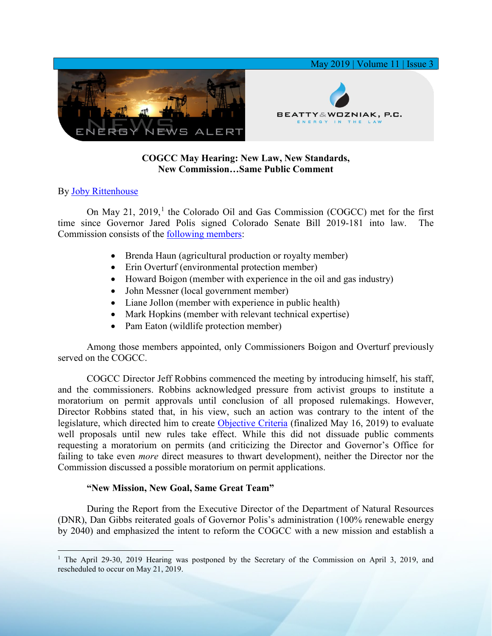

## **COGCC May Hearing: New Law, New Standards, New Commission…Same Public Comment**

## By [Joby Rittenhouse](https://www.bwenergylaw.com/joby-rittenhouse)

On May 2[1](#page-0-0), 2019, $<sup>1</sup>$  the Colorado Oil and Gas Commission (COGCC) met for the first</sup> time since Governor Jared Polis signed Colorado Senate Bill 2019-181 into law. The Commission consists of the [following members:](https://us20.campaign-archive.com/?e=&u=642f74c53339dd47781453a4c&id=1ea35b2dechttps://us20.campaign-archive.com/?e=&u=642f74c53339dd47781453a4c&id=1ea35b2dec)

- Brenda Haun (agricultural production or royalty member)
- Erin Overturf (environmental protection member)
- Howard Boigon (member with experience in the oil and gas industry)
- John Messner (local government member)
- Liane Jollon (member with experience in public health)
- Mark Hopkins (member with relevant technical expertise)
- Pam Eaton (wildlife protection member)

Among those members appointed, only Commissioners Boigon and Overturf previously served on the COGCC.

COGCC Director Jeff Robbins commenced the meeting by introducing himself, his staff, and the commissioners. Robbins acknowledged pressure from activist groups to institute a moratorium on permit approvals until conclusion of all proposed rulemakings. However, Director Robbins stated that, in his view, such an action was contrary to the intent of the legislature, which directed him to create [Objective Criteria](http://cogcc.state.co.us/documents/sb19181/DOC/COGCC_Directors_Final_Objective_Criteria_20190516.pdf) (finalized May 16, 2019) to evaluate well proposals until new rules take effect. While this did not dissuade public comments requesting a moratorium on permits (and criticizing the Director and Governor's Office for failing to take even *more* direct measures to thwart development), neither the Director nor the Commission discussed a possible moratorium on permit applications.

## **"New Mission, New Goal, Same Great Team"**

During the Report from the Executive Director of the Department of Natural Resources (DNR), Dan Gibbs reiterated goals of Governor Polis's administration (100% renewable energy by 2040) and emphasized the intent to reform the COGCC with a new mission and establish a

<span id="page-0-0"></span><sup>&</sup>lt;sup>1</sup> The April 29-30, 2019 Hearing was postponed by the Secretary of the Commission on April 3, 2019, and rescheduled to occur on May 21, 2019.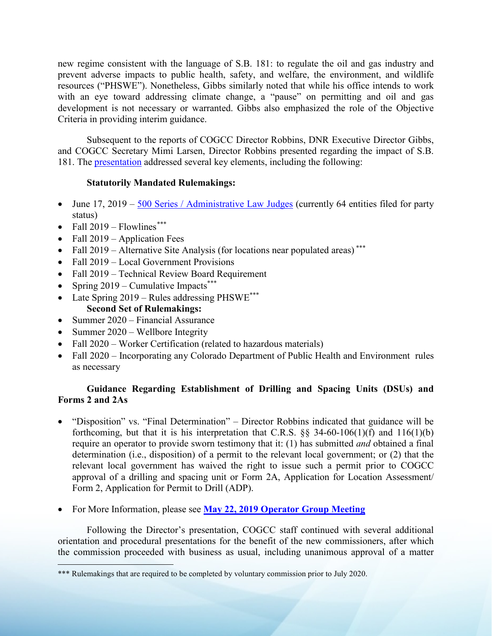new regime consistent with the language of S.B. 181: to regulate the oil and gas industry and prevent adverse impacts to public health, safety, and welfare, the environment, and wildlife resources ("PHSWE"). Nonetheless, Gibbs similarly noted that while his office intends to work with an eye toward addressing climate change, a "pause" on permitting and oil and gas development is not necessary or warranted. Gibbs also emphasized the role of the Objective Criteria in providing interim guidance.

Subsequent to the reports of COGCC Director Robbins, DNR Executive Director Gibbs, and COGCC Secretary Mimi Larsen, Director Robbins presented regarding the impact of S.B. 181. The [presentation](http://cogcc.state.co.us/documents/sb19181/Overview/SB_19_181_Director_Robbins_Presentation_20190521.pdf) addressed several key elements, including the following:

## **Statutorily Mandated Rulemakings:**

- June  $17, 2019 500$  Series / Administrative Law Judges (currently 64 entities filed for party status)
- Fall  $2019$  Flowlines<sup>[\\*\\*\\*](#page-1-0)</sup>
- Fall 2019 Application Fees
- Fall  $2019$  Alternative Site Analysis (for locations near populated areas)<sup>\*\*\*</sup>
- Fall 2019 Local Government Provisions
- Fall 2019 Technical Review Board Requirement
- Spring  $2019$  Cumulative Impacts\*\*\*
- Late Spring 2019 Rules addressing PHSWE<sup>\*\*\*</sup> **Second Set of Rulemakings:**
- Summer 2020 Financial Assurance
- Summer 2020 Wellbore Integrity
- Fall 2020 Worker Certification (related to hazardous materials)
- Fall 2020 Incorporating any Colorado Department of Public Health and Environment rules as necessary

# **Guidance Regarding Establishment of Drilling and Spacing Units (DSUs) and Forms 2 and 2As**

- "Disposition" vs. "Final Determination" Director Robbins indicated that guidance will be forthcoming, but that it is his interpretation that C.R.S.  $\S$ § 34-60-106(1)(f) and 116(1)(b) require an operator to provide sworn testimony that it: (1) has submitted *and* obtained a final determination (i.e., disposition) of a permit to the relevant local government; or (2) that the relevant local government has waived the right to issue such a permit prior to COGCC approval of a drilling and spacing unit or Form 2A, Application for Location Assessment/ Form 2, Application for Permit to Drill (ADP).
- For More Information, please see **[May 22, 2019 Operator Group Meeting](https://docs.wixstatic.com/ugd/368105_236e71e2049b4ee99d02ba9c02e2c2e8.pdf)**

Following the Director's presentation, COGCC staff continued with several additional orientation and procedural presentations for the benefit of the new commissioners, after which the commission proceeded with business as usual, including unanimous approval of a matter

<span id="page-1-0"></span><sup>\*\*\*</sup> Rulemakings that are required to be completed by voluntary commission prior to July 2020.